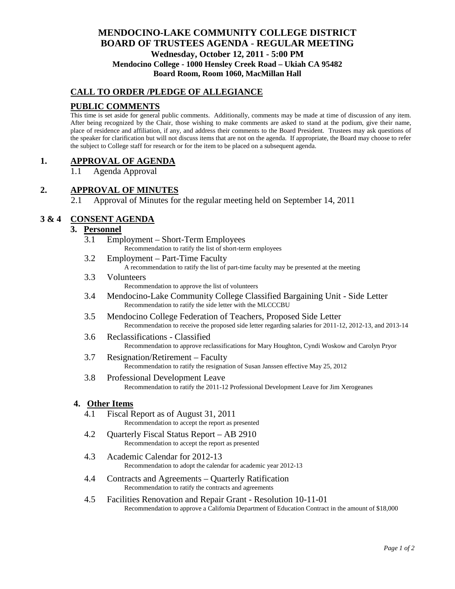# **MENDOCINO-LAKE COMMUNITY COLLEGE DISTRICT BOARD OF TRUSTEES AGENDA** - **REGULAR MEETING Wednesday, October 12, 2011 - 5:00 PM Mendocino College - 1000 Hensley Creek Road – Ukiah CA 95482 Board Room, Room 1060, MacMillan Hall**

# **CALL TO ORDER /PLEDGE OF ALLEGIANCE**

# **PUBLIC COMMENTS**

This time is set aside for general public comments. Additionally, comments may be made at time of discussion of any item. After being recognized by the Chair, those wishing to make comments are asked to stand at the podium, give their name, place of residence and affiliation, if any, and address their comments to the Board President. Trustees may ask questions of the speaker for clarification but will not discuss items that are not on the agenda. If appropriate, the Board may choose to refer the subject to College staff for research or for the item to be placed on a subsequent agenda.

## **1. APPROVAL OF AGENDA**

1.1 Agenda Approval

# **2. APPROVAL OF MINUTES**

2.1 Approval of Minutes for the regular meeting held on September 14, 2011

# **3 & 4 CONSENT AGENDA**

## **3. Personnel**

- 3.1 Employment Short-Term Employees Recommendation to ratify the list of short-term employees
- 3.2 Employment Part-Time Faculty A recommendation to ratify the list of part-time faculty may be presented at the meeting
- 3.3 Volunteers Recommendation to approve the list of volunteers
- 3.4 Mendocino-Lake Community College Classified Bargaining Unit Side Letter Recommendation to ratify the side letter with the MLCCCBU
- 3.5 Mendocino College Federation of Teachers, Proposed Side Letter Recommendation to receive the proposed side letter regarding salaries for 2011-12, 2012-13, and 2013-14
- 3.6 Reclassifications Classified Recommendation to approve reclassifications for Mary Houghton, Cyndi Woskow and Carolyn Pryor
- 3.7 Resignation/Retirement Faculty Recommendation to ratify the resignation of Susan Janssen effective May 25, 2012
- 3.8 Professional Development Leave Recommendation to ratify the 2011-12 Professional Development Leave for Jim Xerogeanes

## **4. Other Items**

- 4.1 Fiscal Report as of August 31, 2011 Recommendation to accept the report as presented
- 4.2 Quarterly Fiscal Status Report AB 2910 Recommendation to accept the report as presented
- 4.3 Academic Calendar for 2012-13 Recommendation to adopt the calendar for academic year 2012-13
- 4.4 Contracts and Agreements Quarterly Ratification Recommendation to ratify the contracts and agreements
- 4.5 Facilities Renovation and Repair Grant Resolution 10-11-01 Recommendation to approve a California Department of Education Contract in the amount of \$18,000